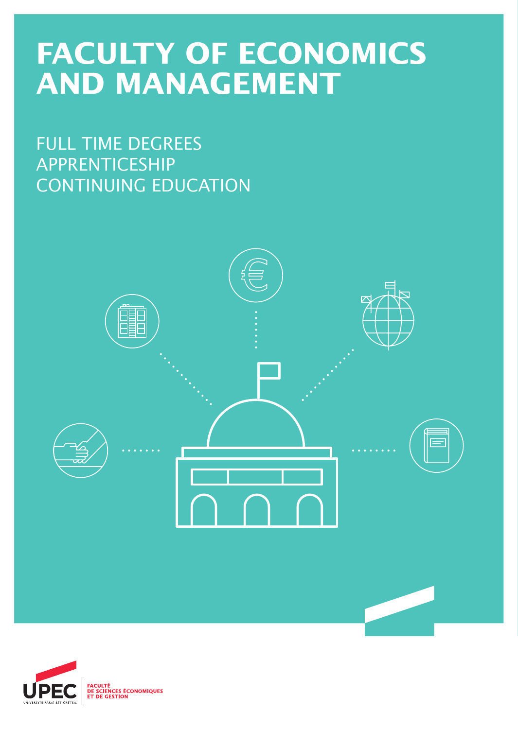# **FACULTY OF ECONOMICS AND MANAGEMENT**

FULL TIME DEGREES APPRENTICESHIP CONTINUING EDUCATION



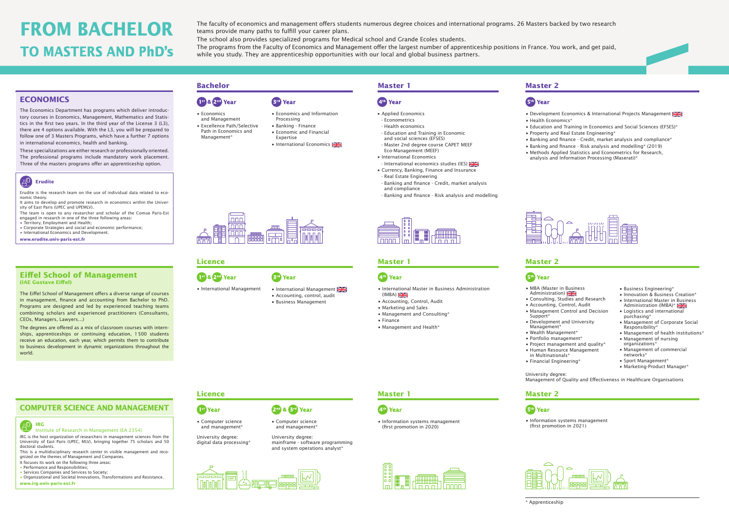

Erudite is the research team on the use of individual data related to economic theory.

It aims to develop and promote research in economics within the University of East Paris (UPEC and UPEMLV).

- The team is open to any researcher and scholar of the Comue Paris-Est engaged in research in one of the three following areas:
- Territory, Employment and Health;
- Corporate Strategies and social and economic performance;
- International Economics and Development.

**www.erudite.univ-paris-est.fr**



Institute of Research in Management (EA 2354)

IRG is the host organization of researchers in management sciences from the University of East Paris (UPEC, MLV), bringing together 75 scholars and 50 doctoral students.

This is a multidisciplinary research center in visible management and recognized on the themes of Management and Companies.

- It focuses its work on the following three areas:
- Performance and Responsibilities;
- Services Companies and Services to Society;
- Organizational and Societal Innovations, Transformations and Resistance. **www.irg.univ-paris-est.fr**

- Development Economics & International Projects Management
- Health Economics\*
- Education and Training in Economics and Social Sciences (EFSES)\*
- Property and Real Estate Engineering\*
- Banking and finance Credit, market analysis and compliance\*
- Banking and finance Risk analysis and modelling\* (2019)
- Methods Applied Statistics and Econometrics for Research, analysis and Information Processing (Maserati)\*



- 1<sup>50</sup> & 2<sup>nd</sup> Year • Economics
- and Management
- Excellence Path/Selective Path in Economics and
- Management\*
- Economics and Information Processing • Banking - Finance • Economic and Financial Expertise

**Brd** Year

• International Economics





#### **Bachelor Master 1 Master 2**

## 5<sup>th</sup> Year

- Applied Economics
- Econometrics
- Health economics
- Education and Training in Economic and social sciences (EFSES)
- Master 2nd degree course CAPET MEEF Eco-Management (MEEF)
- International Economics
- International economics studies (IES)
- Currency, Banking, Finance and Insurance
- Real Estate Engineering
- Banking and finance Credit, market analysis and compliance
- Banking and finance Risk analysis and modelling

|--|--|

## 4<sup>th</sup> Year

- International Management
- Accounting, control, audit • Business Management



## 4<sup>th</sup> Year

2<sup>nd</sup> & <sup>3rd</sup> Year • Computer science and management\*

University degree: Management of Quality and Effectiveness in Healthcare Organisations

- MBA (Master in Business Administration)
- Consulting, Studies and Research
- Accounting, Control, Audit
- 
- Management Control and Decision Support\*
- Development and University Management\*
- Wealth Management\*
- Portfolio management\*
- Project management and quality\*
- Human Resource Management in Multinationals\*
- Financial Engineering\*
- Business Engineering\*
- Innovation & Business Creation\*
- International Master in Business Administration (IMBA)\*
- Logistics and international
- purchasing\* • Management of Corporate Social
- Responsibility\*
- Management of health institutions\*
- Management of nursing organizations\*
- Management of commercial networks\*
- Sport Management\*
- Marketing-Product Manager\*

• Information systems management (first promotion in 2021)



## **Licence Master 1 Master 2**



#### **Licence Master 1 Master 2**

## 5<sup>th</sup> Year

- International Master in Business Administration  $(IMBA)$
- Accounting, Control, Audit
- Marketing and Sales
- Management and Consulting\*
- Finance
- Management and Health\*



• Information systems management (first promotion in 2020)



• International Management



- Computer science and management\*
- University degree: digital data processing\*

University degree: mainframe - software programming and system operations analyst\*





#### **ECONOMICS**

The Economics Department has programs which deliver introductory courses in Economics, Management, Mathematics and Statistics in the first two years. In the third year of the License 3 (L3), there are 4 options available. With the L3, you will be prepared to follow one of 3 Masters Programs, which have a further 7 options in international economics, health and banking.

These specializations are either research or professionally oriented. The professional programs include mandatory work placement. Three of the masters programs offer an apprenticeship option.

#### **Eiffel School of Management (IAE Gustave Eiffel)**

The Eiffel School of Management offers a diverse range of courses in management, finance and accounting from Bachelor to PhD. Programs are designed and led by experienced teaching teams combining scholars and experienced practitioners (Consultants, CEOs, Managers, Lawyers…)

The degrees are offered as a mix of classroom courses with internships, apprenticeships or continuing education, 1500 students receive an education, each year, which permits them to contribute to business development in dynamic organizations throughout the world.

# **FROM BACHELOR TO MASTERS AND PhD's**

The faculty of economics and management offers students numerous degree choices and international programs. 26 Masters backed by two research teams provide many paths to fulfill your career plans.

The school also provides specialized programs for Medical school and Grande Ecoles students.

The programs from the Faculty of Economics and Management offer the largest number of apprenticeship positions in France. You work, and get paid, while you study. They are apprenticeship opportunities with our local and global business partners.

## **COMPUTER SCIENCE AND MANAGEMENT**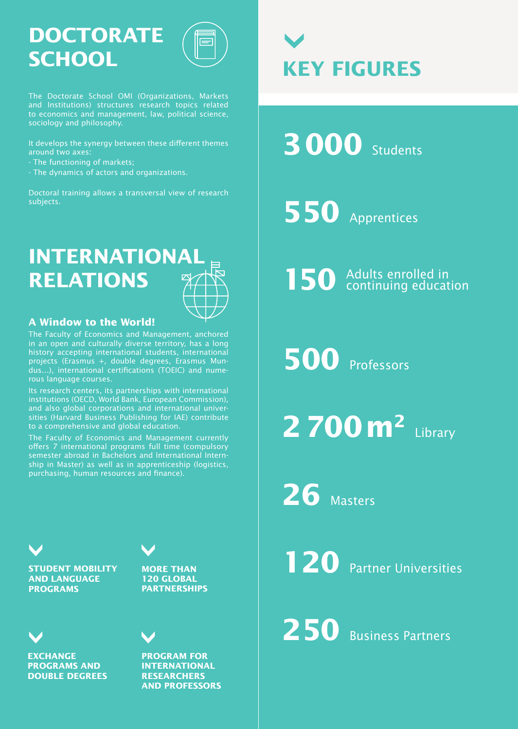# **DOCTORATE SCHOOL**

The Doctorate School OMI (Organizations, Markets and Institutions) structures research topics related to economics and management, law, political science, sociology and philosophy.

It develops the synergy between these different themes around two axes:

- The functioning of markets;
- The dynamics of actors and organizations.

Doctoral training allows a transversal view of research subjects.

# **INTERNATIONAL RELATIONS**



## **A Window to the World!**

The Faculty of Economics and Management, anchored in an open and culturally diverse territory, has a long history accepting international students, international projects (Erasmus +, double degrees, Erasmus Mundus…), international certifications (TOEIC) and numerous language courses.

Its research centers, its partnerships with international institutions (OECD, World Bank, European Commission), and also global corporations and international universities (Harvard Business Publishing for IAE) contribute to a comprehensive and global education.

The Faculty of Economics and Management currently offers 7 international programs full time (compulsory semester abroad in Bachelors and International Internship in Master) as well as in apprenticeship (logistics, purchasing, human resources and finance).

**STUDENT MOBILITY AND LANGUAGE PROGRAMS**





**PROGRAM FOR INTERNATIONAL RESEARCHERS AND PROFESSORS**



**3000** Students

**550** Apprentices

150 Adults enrolled in

**500** Professors

**2700m2** Library

**26** Masters

**120** Partner Universities

250 Business Partners